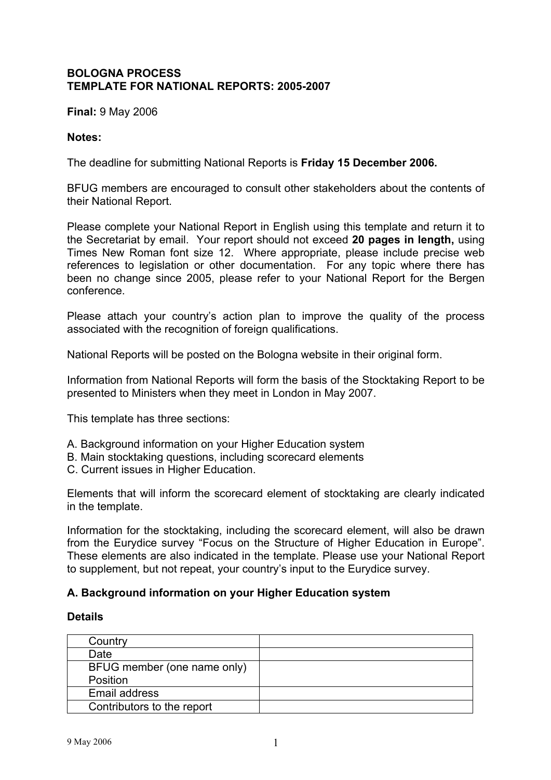## **BOLOGNA PROCESS TEMPLATE FOR NATIONAL REPORTS: 2005-2007**

**Final:** 9 May 2006

#### **Notes:**

The deadline for submitting National Reports is **Friday 15 December 2006.**

BFUG members are encouraged to consult other stakeholders about the contents of their National Report.

Please complete your National Report in English using this template and return it to the Secretariat by email. Your report should not exceed **20 pages in length,** using Times New Roman font size 12.Where appropriate, please include precise web references to legislation or other documentation. For any topic where there has been no change since 2005, please refer to your National Report for the Bergen conference.

Please attach your country's action plan to improve the quality of the process associated with the recognition of foreign qualifications.

National Reports will be posted on the Bologna website in their original form.

Information from National Reports will form the basis of the Stocktaking Report to be presented to Ministers when they meet in London in May 2007.

This template has three sections:

- A. Background information on your Higher Education system
- B. Main stocktaking questions, including scorecard elements
- C. Current issues in Higher Education.

Elements that will inform the scorecard element of stocktaking are clearly indicated in the template.

Information for the stocktaking, including the scorecard element, will also be drawn from the Eurydice survey "Focus on the Structure of Higher Education in Europe". These elements are also indicated in the template. Please use your National Report to supplement, but not repeat, your country's input to the Eurydice survey.

### **A. Background information on your Higher Education system**

#### **Details**

| Country                     |  |
|-----------------------------|--|
| Date                        |  |
| BFUG member (one name only) |  |
| Position                    |  |
| Email address               |  |
| Contributors to the report  |  |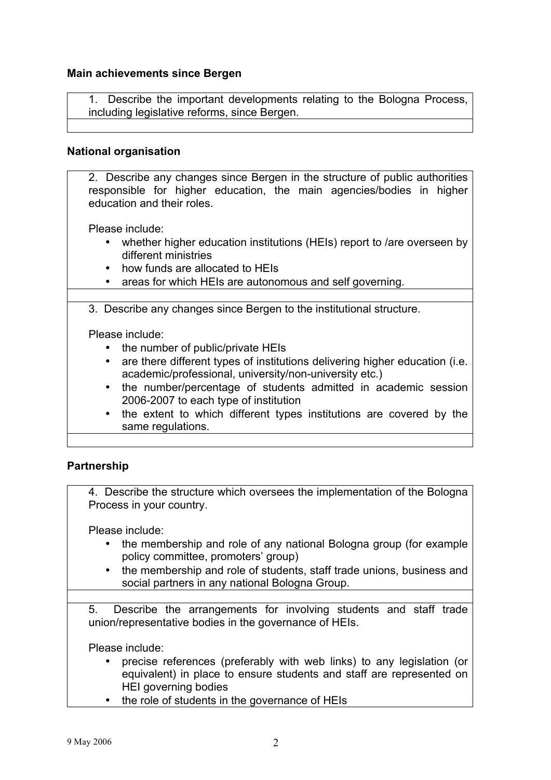### **Main achievements since Bergen**

1. Describe the important developments relating to the Bologna Process, including legislative reforms, since Bergen.

### **National organisation**

2. Describe any changes since Bergen in the structure of public authorities responsible for higher education, the main agencies/bodies in higher education and their roles.

Please include:

- whether higher education institutions (HEIs) report to /are overseen by different ministries
- how funds are allocated to HEIs
- areas for which HEIs are autonomous and self governing.

3. Describe any changes since Bergen to the institutional structure.

Please include:

- the number of public/private HEIs
- are there different types of institutions delivering higher education (i.e. academic/professional, university/non-university etc.)
- the number/percentage of students admitted in academic session 2006-2007 to each type of institution
- the extent to which different types institutions are covered by the same regulations.

### **Partnership**

4. Describe the structure which oversees the implementation of the Bologna Process in your country.

Please include:

- the membership and role of any national Bologna group (for example policy committee, promoters' group)
- the membership and role of students, staff trade unions, business and social partners in any national Bologna Group.

5. Describe the arrangements for involving students and staff trade union/representative bodies in the governance of HEIs.

- precise references (preferably with web links) to any legislation (or equivalent) in place to ensure students and staff are represented on HEI governing bodies
- the role of students in the governance of HEIs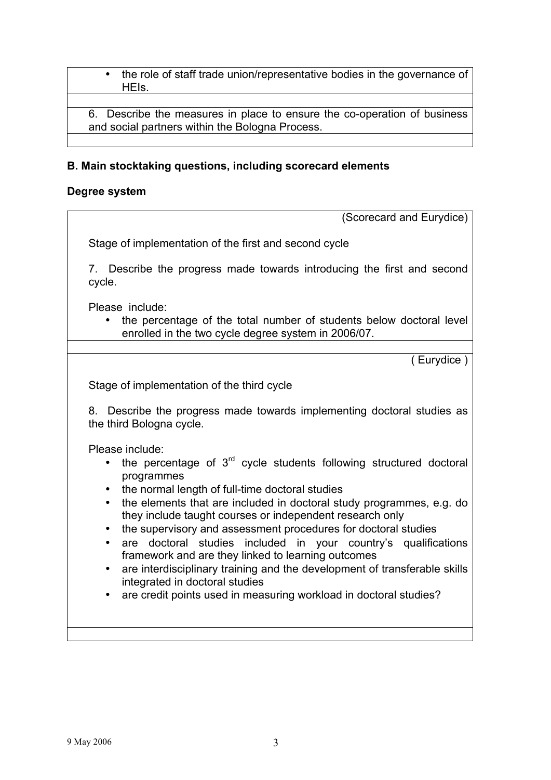• the role of staff trade union/representative bodies in the governance of HEIs.

6. Describe the measures in place to ensure the co-operation of business and social partners within the Bologna Process.

## **B. Main stocktaking questions, including scorecard elements**

## **Degree system**

| (Scorecard and Eurydice)                                                                                                                                                                                        |
|-----------------------------------------------------------------------------------------------------------------------------------------------------------------------------------------------------------------|
| Stage of implementation of the first and second cycle                                                                                                                                                           |
| 7. Describe the progress made towards introducing the first and second<br>cycle.                                                                                                                                |
| Please include:<br>• the percentage of the total number of students below doctoral level<br>enrolled in the two cycle degree system in 2006/07.                                                                 |
|                                                                                                                                                                                                                 |
| $($ Eurydice $)$                                                                                                                                                                                                |
| Stage of implementation of the third cycle                                                                                                                                                                      |
| 8. Describe the progress made towards implementing doctoral studies as<br>the third Bologna cycle.                                                                                                              |
| Please include:                                                                                                                                                                                                 |
| the percentage of 3 <sup>rd</sup> cycle students following structured doctoral<br>$\bullet$<br>programmes                                                                                                       |
| the normal length of full-time doctoral studies<br>$\bullet$                                                                                                                                                    |
| the elements that are included in doctoral study programmes, e.g. do<br>$\bullet$<br>they include taught courses or independent research only<br>the supervisory and assessment procedures for doctoral studies |
| are doctoral studies<br>included in your country's qualifications<br>$\bullet$<br>framework and are they linked to learning outcomes                                                                            |
| are interdisciplinary training and the development of transferable skills<br>$\bullet$<br>integrated in doctoral studies                                                                                        |
| are credit points used in measuring workload in doctoral studies?                                                                                                                                               |
|                                                                                                                                                                                                                 |
|                                                                                                                                                                                                                 |
|                                                                                                                                                                                                                 |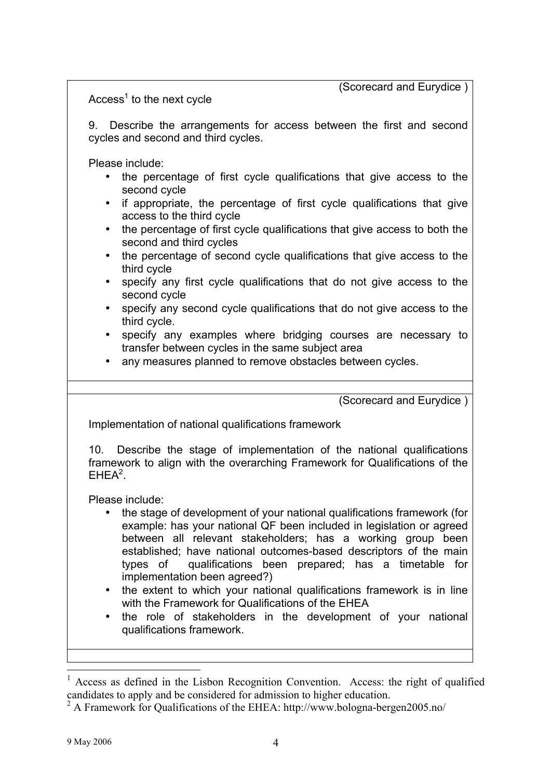(Scorecard and Eurydice )

 $Access<sup>1</sup>$  to the next cycle

9. Describe the arrangements for access between the first and second cycles and second and third cycles.

Please include:

- the percentage of first cycle qualifications that give access to the second cycle
- if appropriate, the percentage of first cycle qualifications that give access to the third cycle
- the percentage of first cycle qualifications that give access to both the second and third cycles
- the percentage of second cycle qualifications that give access to the third cycle
- specify any first cycle qualifications that do not give access to the second cycle
- specify any second cycle qualifications that do not give access to the third cycle.
- specify any examples where bridging courses are necessary to transfer between cycles in the same subject area
- any measures planned to remove obstacles between cycles.

(Scorecard and Eurydice )

Implementation of national qualifications framework

10. Describe the stage of implementation of the national qualifications framework to align with the overarching Framework for Qualifications of the  $EHEA<sup>2</sup>$ .

- the stage of development of your national qualifications framework (for example: has your national QF been included in legislation or agreed between all relevant stakeholders; has a working group been established; have national outcomes-based descriptors of the main types of qualifications been prepared; has a timetable for implementation been agreed?)
- the extent to which your national qualifications framework is in line with the Framework for Qualifications of the EHEA
- the role of stakeholders in the development of your national qualifications framework.

 <sup>1</sup> Access as defined in the Lisbon Recognition Convention. Access: the right of qualified candidates to apply and be considered for admission to higher education.

<sup>&</sup>lt;sup>2</sup> A Framework for Qualifications of the EHEA: http://www.bologna-bergen2005.no/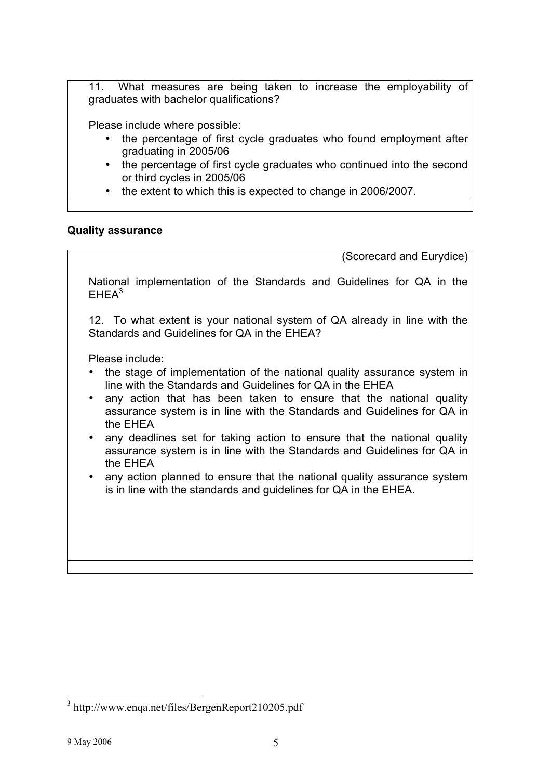11. What measures are being taken to increase the employability of graduates with bachelor qualifications?

Please include where possible:

- the percentage of first cycle graduates who found employment after graduating in 2005/06
- the percentage of first cycle graduates who continued into the second or third cycles in 2005/06
- the extent to which this is expected to change in 2006/2007.

## **Quality assurance**

(Scorecard and Eurydice)

National implementation of the Standards and Guidelines for QA in the  $FHEA<sup>3</sup>$ 

12. To what extent is your national system of QA already in line with the Standards and Guidelines for QA in the EHEA?

- the stage of implementation of the national quality assurance system in line with the Standards and Guidelines for QA in the EHEA
- any action that has been taken to ensure that the national quality assurance system is in line with the Standards and Guidelines for QA in the EHEA
- any deadlines set for taking action to ensure that the national quality assurance system is in line with the Standards and Guidelines for QA in the EHEA
- any action planned to ensure that the national quality assurance system is in line with the standards and guidelines for QA in the EHEA.

 <sup>3</sup> http://www.enqa.net/files/BergenReport210205.pdf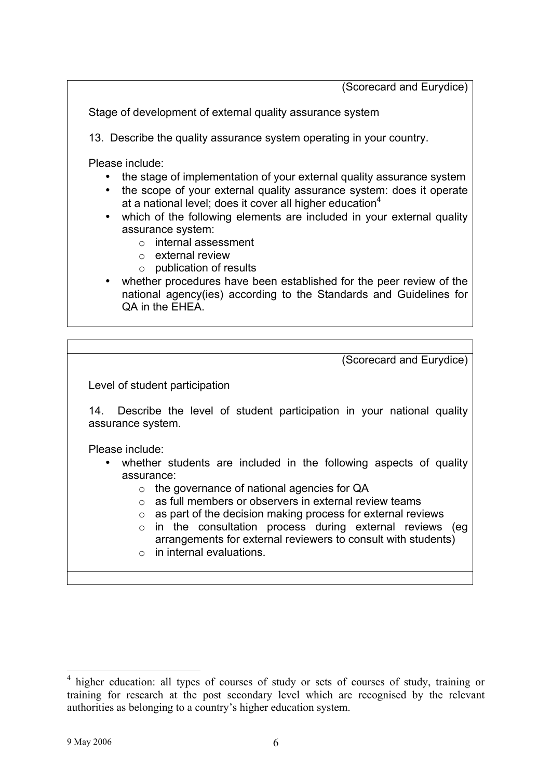(Scorecard and Eurydice)

Stage of development of external quality assurance system

13. Describe the quality assurance system operating in your country.

- the stage of implementation of your external quality assurance system
- the scope of your external quality assurance system: does it operate at a national level; does it cover all higher education $4$
- which of the following elements are included in your external quality assurance system:
	- o internal assessment
	- o external review
	- o publication of results
- whether procedures have been established for the peer review of the national agency(ies) according to the Standards and Guidelines for QA in the EHEA.

| (Scorecard and Eurydice)                                                                                                                                                                                                                       |
|------------------------------------------------------------------------------------------------------------------------------------------------------------------------------------------------------------------------------------------------|
| Level of student participation                                                                                                                                                                                                                 |
| Describe the level of student participation in your national quality<br>14.<br>assurance system.                                                                                                                                               |
| Please include:<br>• whether students are included in the following aspects of quality<br>assurance:<br>the governance of national agencies for QA<br>$\circ$<br>as full members or observers in external review teams<br>$\cap$               |
| as part of the decision making process for external reviews<br>$\circ$<br>$\circ$ in the consultation process during external reviews (eg<br>arrangements for external reviewers to consult with students)<br>$\circ$ in internal evaluations. |

<sup>&</sup>lt;sup>4</sup> higher education: all types of courses of study or sets of courses of study, training or training for research at the post secondary level which are recognised by the relevant authorities as belonging to a country's higher education system.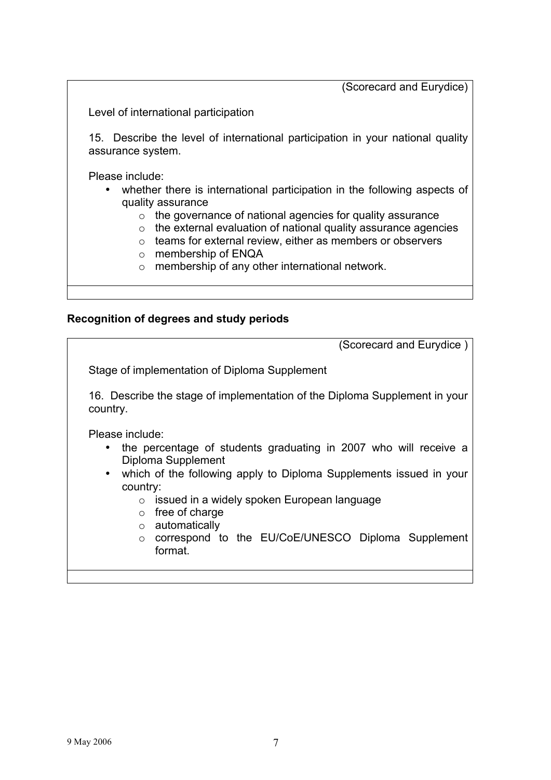(Scorecard and Eurydice)

Level of international participation

15. Describe the level of international participation in your national quality assurance system.

Please include:

- whether there is international participation in the following aspects of quality assurance
	- o the governance of national agencies for quality assurance
	- o the external evaluation of national quality assurance agencies
	- o teams for external review, either as members or observers
	- o membership of ENQA
	- o membership of any other international network.

#### **Recognition of degrees and study periods**

| (Scorecard and Eurydice)                                                                                                                                                                                                                                                                                                                                                                                    |
|-------------------------------------------------------------------------------------------------------------------------------------------------------------------------------------------------------------------------------------------------------------------------------------------------------------------------------------------------------------------------------------------------------------|
| Stage of implementation of Diploma Supplement                                                                                                                                                                                                                                                                                                                                                               |
| 16. Describe the stage of implementation of the Diploma Supplement in your<br>country.                                                                                                                                                                                                                                                                                                                      |
| Please include:<br>the percentage of students graduating in 2007 who will receive a<br>$\bullet$<br>Diploma Supplement<br>which of the following apply to Diploma Supplements issued in your<br>$\bullet$<br>country:<br>issued in a widely spoken European language<br>$\circ$<br>free of charge<br>$\circ$<br>automatically<br>$\circ$<br>o correspond to the EU/CoE/UNESCO Diploma Supplement<br>format. |
|                                                                                                                                                                                                                                                                                                                                                                                                             |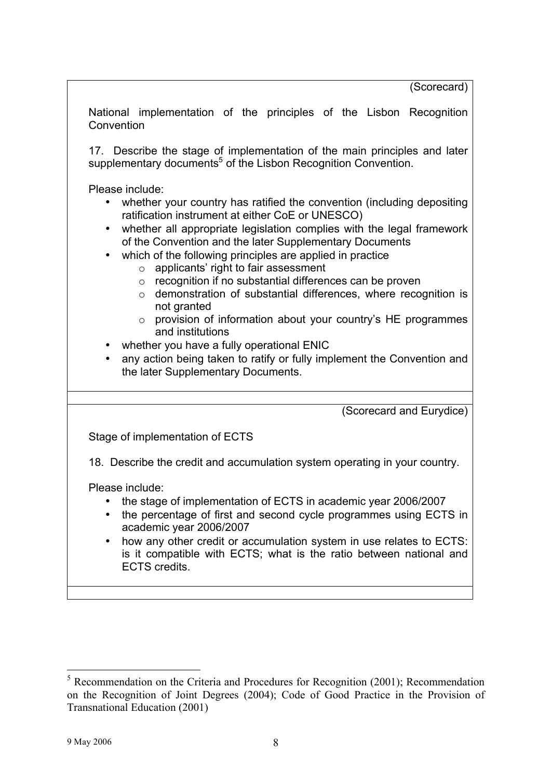National implementation of the principles of the Lisbon Recognition **Convention** 

17. Describe the stage of implementation of the main principles and later supplementary documents<sup>5</sup> of the Lisbon Recognition Convention.

Please include:

- whether your country has ratified the convention (including depositing ratification instrument at either CoE or UNESCO)
- whether all appropriate legislation complies with the legal framework of the Convention and the later Supplementary Documents
- which of the following principles are applied in practice
	- $\circ$  applicants' right to fair assessment
	- o recognition if no substantial differences can be proven
	- o demonstration of substantial differences, where recognition is not granted
	- o provision of information about your country's HE programmes and institutions
- whether you have a fully operational ENIC
- any action being taken to ratify or fully implement the Convention and the later Supplementary Documents.

(Scorecard and Eurydice)

Stage of implementation of ECTS

18. Describe the credit and accumulation system operating in your country.

- the stage of implementation of ECTS in academic year 2006/2007
- the percentage of first and second cycle programmes using ECTS in academic year 2006/2007
- how any other credit or accumulation system in use relates to ECTS: is it compatible with ECTS; what is the ratio between national and ECTS credits.

<sup>&</sup>lt;sup>5</sup> Recommendation on the Criteria and Procedures for Recognition (2001); Recommendation on the Recognition of Joint Degrees (2004); Code of Good Practice in the Provision of Transnational Education (2001)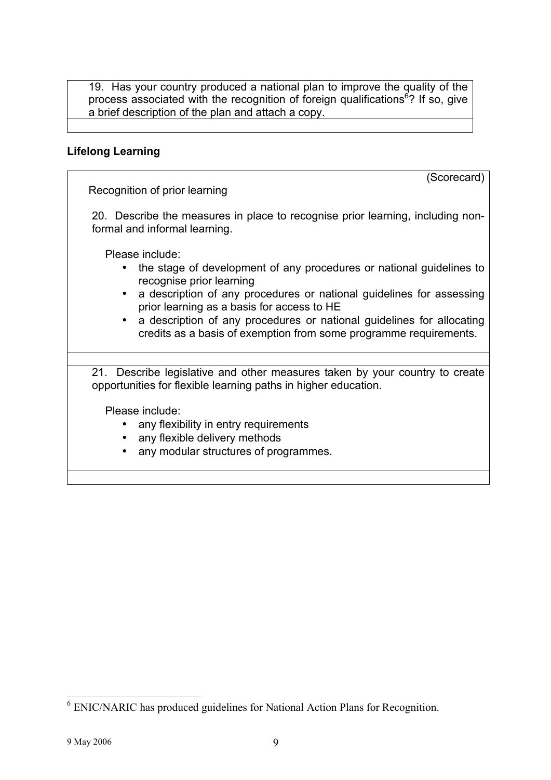19. Has your country produced a national plan to improve the quality of the process associated with the recognition of foreign qualifications<sup>6</sup>? If so, give a brief description of the plan and attach a copy.

### **Lifelong Learning**

(Scorecard)

Recognition of prior learning

20. Describe the measures in place to recognise prior learning, including nonformal and informal learning.

Please include:

- the stage of development of any procedures or national guidelines to recognise prior learning
- a description of any procedures or national guidelines for assessing prior learning as a basis for access to HE
- a description of any procedures or national guidelines for allocating credits as a basis of exemption from some programme requirements.

21. Describe legislative and other measures taken by your country to create opportunities for flexible learning paths in higher education.

- any flexibility in entry requirements
- any flexible delivery methods
- any modular structures of programmes.

 $6$  ENIC/NARIC has produced guidelines for National Action Plans for Recognition.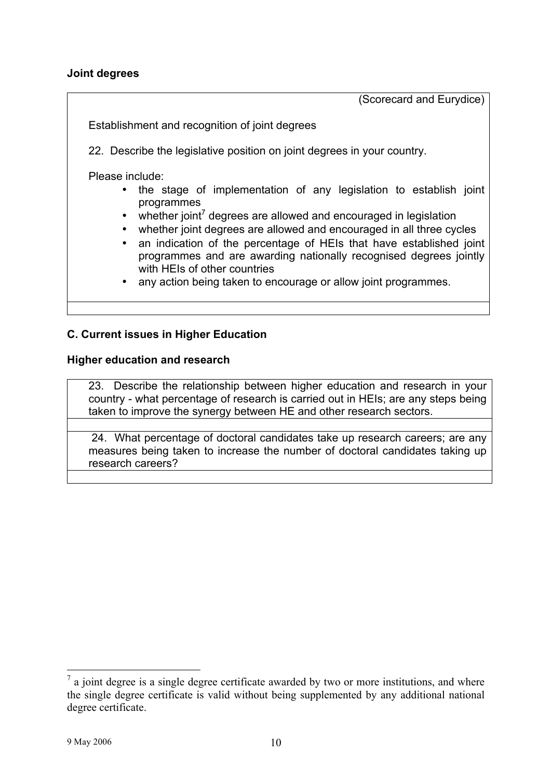### **Joint degrees**

(Scorecard and Eurydice)

Establishment and recognition of joint degrees

22. Describe the legislative position on joint degrees in your country.

Please include:

- the stage of implementation of any legislation to establish joint programmes
- whether joint<sup>7</sup> degrees are allowed and encouraged in legislation
- whether joint degrees are allowed and encouraged in all three cycles
- an indication of the percentage of HEIs that have established joint programmes and are awarding nationally recognised degrees jointly with HEIs of other countries
- any action being taken to encourage or allow joint programmes.

## **C. Current issues in Higher Education**

#### **Higher education and research**

23. Describe the relationship between higher education and research in your country - what percentage of research is carried out in HEIs; are any steps being taken to improve the synergy between HE and other research sectors.

24. What percentage of doctoral candidates take up research careers; are any measures being taken to increase the number of doctoral candidates taking up research careers?

 $<sup>7</sup>$  a joint degree is a single degree certificate awarded by two or more institutions, and where</sup> the single degree certificate is valid without being supplemented by any additional national degree certificate.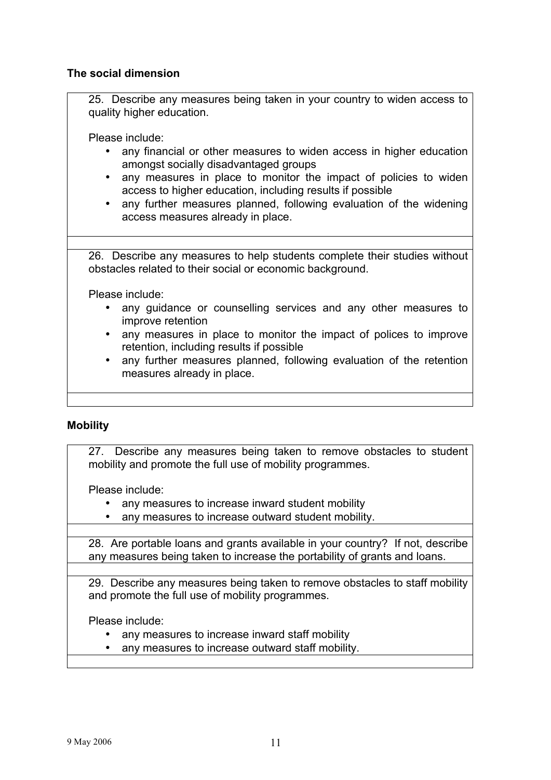## **The social dimension**

25. Describe any measures being taken in your country to widen access to quality higher education.

Please include:

- any financial or other measures to widen access in higher education amongst socially disadvantaged groups
- any measures in place to monitor the impact of policies to widen access to higher education, including results if possible
- any further measures planned, following evaluation of the widening access measures already in place.

26. Describe any measures to help students complete their studies without obstacles related to their social or economic background.

Please include:

- any guidance or counselling services and any other measures to improve retention
- any measures in place to monitor the impact of polices to improve retention, including results if possible
- any further measures planned, following evaluation of the retention measures already in place.

# **Mobility**

27. Describe any measures being taken to remove obstacles to student mobility and promote the full use of mobility programmes.

Please include:

- any measures to increase inward student mobility
- any measures to increase outward student mobility.

28. Are portable loans and grants available in your country? If not, describe any measures being taken to increase the portability of grants and loans.

29. Describe any measures being taken to remove obstacles to staff mobility and promote the full use of mobility programmes.

- any measures to increase inward staff mobility
- any measures to increase outward staff mobility.